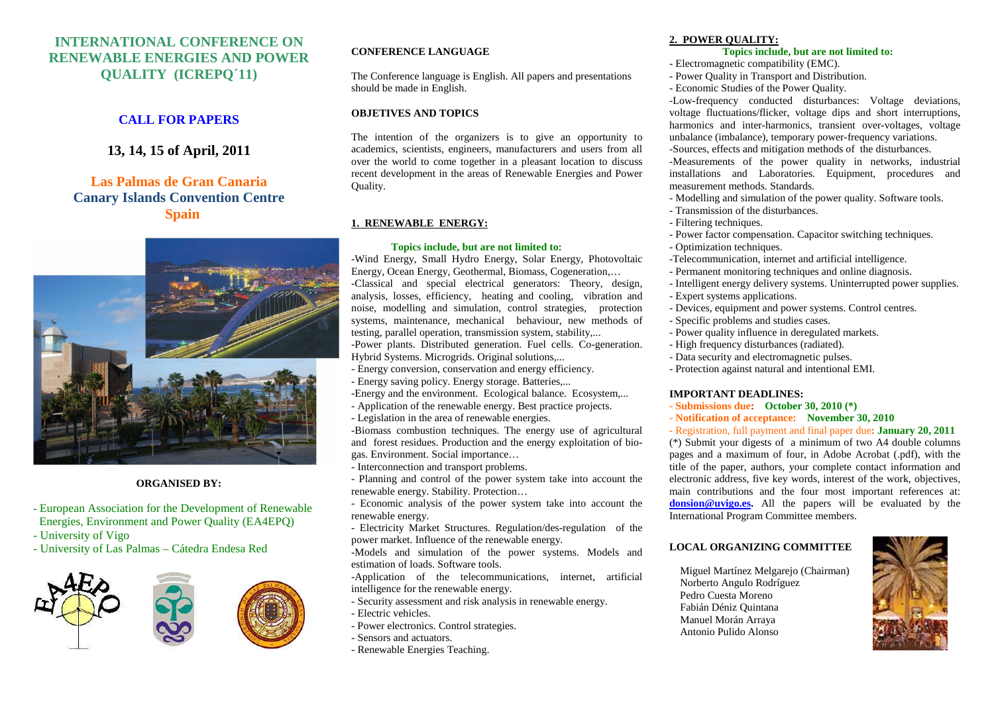# **INTERNATIONAL CONFERENCE ON RENEWABLE ENERGIES AND POWER QUALITY (ICREPQ´11)**

# **CALL FOR PAPERS**

**13, 14, 15 of April, 2011** 

# **Las Palmas de Gran Canaria Canary Islands Convention Centre Spain**



### **ORGANISED BY:**

**-** European Association for the Development of Renewable Energies, Environment and Power Quality (EA4EPQ)

- University of Vigo

- University of Las Palmas – Cátedra Endesa Red



### **CONFERENCE LANGUAGE**

The Conference language is English. All papers and presentations should be made in English.

### **OBJETIVES AND TOPICS**

The intention of the organizers is to give an opportunity to academics, scientists, engineers, manufacturers and users from all over the world to come together in a pleasant location to discuss recent development in the areas of Renewable Energies and Power Quality.

## **1. RENEWABLE ENERGY:**

#### **Topics include, but are not limited to:**

 -Wind Energy, Small Hydro Energy, Solar Energy, Photovoltaic Energy, Ocean Energy, Geothermal, Biomass, Cogeneration,… -Classical and special electrical generators: Theory, design, analysis, losses, efficiency, heating and cooling, vibration and noise, modelling and simulation, control strategies, protection systems, maintenance, mechanical behaviour, new methods of testing, parallel operation, transmission system, stability,... -Power plants. Distributed generation. Fuel cells. Co-generation. Hybrid Systems. Microgrids. Original solutions,...

- Energy conversion, conservation and energy efficiency.
- Energy saving policy. Energy storage. Batteries,...
- -Energy and the environment. Ecological balance. Ecosystem,...
- Application of the renewable energy. Best practice projects.
- Legislation in the area of renewable energies.

 -Biomass combustion techniques. The energy use of agricultural and forest residues. Production and the energy exploitation of biogas. Environment. Social importance…

- Interconnection and transport problems.
- Planning and control of the power system take into account the renewable energy. Stability. Protection…
- Economic analysis of the power system take into account the renewable energy.
- Electricity Market Structures. Regulation/des-regulation of the power market. Influence of the renewable energy.

 -Models and simulation of the power systems. Models and estimation of loads. Software tools.

 -Application of the telecommunications, internet, artificial intelligence for the renewable energy.

- Security assessment and risk analysis in renewable energy.
- Electric vehicles.
	- Power electronics. Control strategies.
	- Sensors and actuators.
	- Renewable Energies Teaching.

## **2. POWER QUALITY:**

- **Topics include, but are not limited to:**
- Electromagnetic compatibility (EMC).
- Power Quality in Transport and Distribution.
- Economic Studies of the Power Quality.

 -Low-frequency conducted disturbances: Voltage deviations, voltage fluctuations/flicker, voltage dips and short interruptions, harmonics and inter-harmonics, transient over-voltages, voltage unbalance (imbalance), temporary power-frequency variations.

-Sources, effects and mitigation methods of the disturbances.

 -Measurements of the power quality in networks, industrial installations and Laboratories. Equipment, procedures and measurement methods. Standards.

- Modelling and simulation of the power quality. Software tools.
- Transmission of the disturbances.
- Filtering techniques.
- Power factor compensation. Capacitor switching techniques.
- Optimization techniques.
- -Telecommunication, internet and artificial intelligence.
- Permanent monitoring techniques and online diagnosis.
- Intelligent energy delivery systems. Uninterrupted power supplies.
- Expert systems applications.
- Devices, equipment and power systems. Control centres.
- Specific problems and studies cases.
- Power quality influence in deregulated markets.
- High frequency disturbances (radiated).
- Data security and electromagnetic pulses.
- Protection against natural and intentional EMI.

### **IMPORTANT DEADLINES:**

- **Submissions due: October 30, 2010 (\*)**
- **Notification of acceptance: November 30, 2010**

- Registration, full payment and final paper due**: January 20, 2011** (\*) Submit your digests of a minimum of two A4 double columns pages and a maximum of four, in Adobe Acrobat (.pdf), with the title of the paper, authors, your complete contact information and electronic address, five key words, interest of the work, objectives, main contributions and the four most important references at: **donsion@uvigo.es.** All the papers will be evaluated by the International Program Committee members.

# **LOCAL ORGANIZING COMMITTEE**

 Miguel Martínez Melgarejo (Chairman) Norberto Angulo Rodríguez Pedro Cuesta Moreno Fabián Déniz Quintana Manuel Morán Arraya Antonio Pulido Alonso